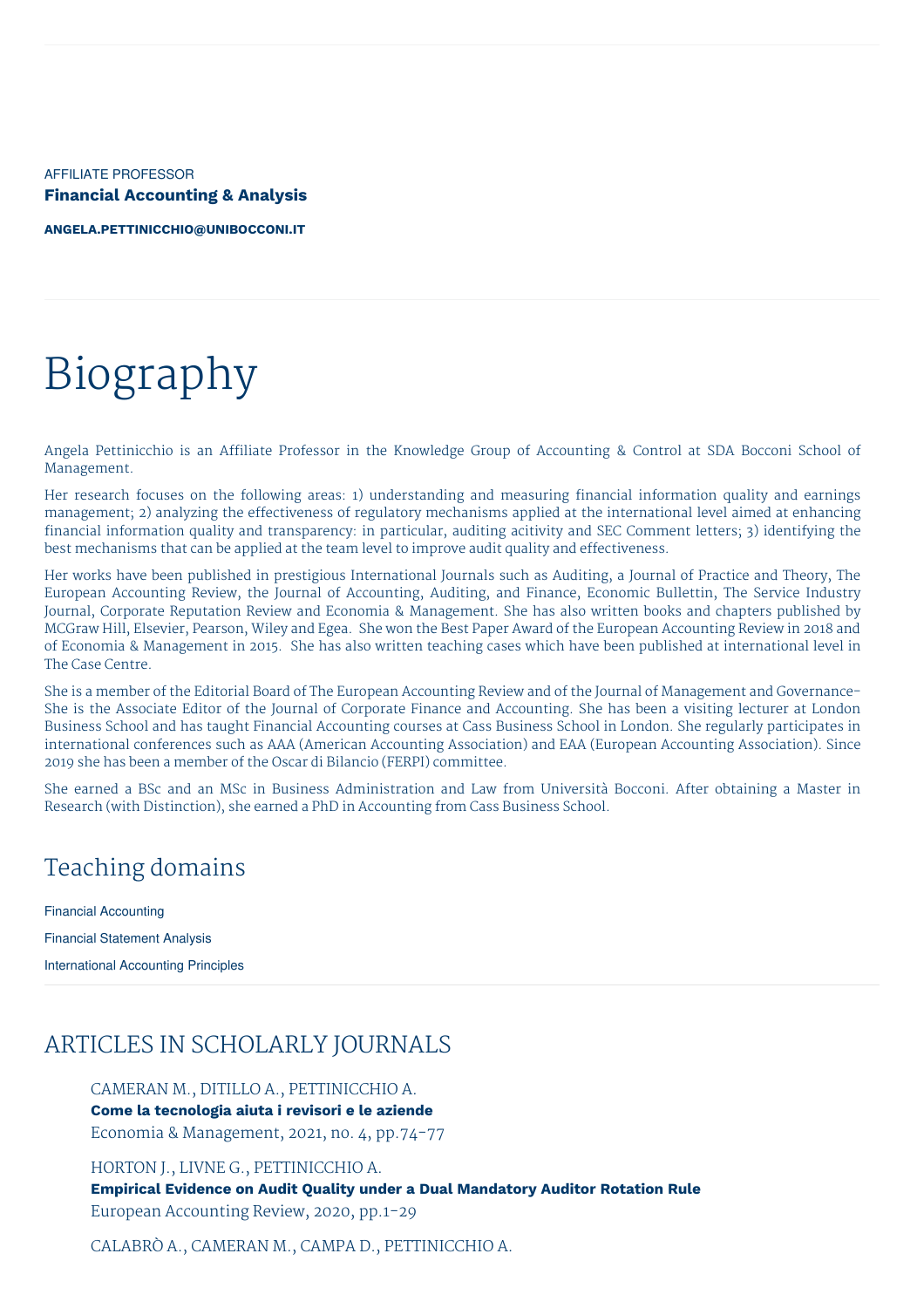AFFILIATE PROFESSOR **Financial Accounting & Analysis**

**[ANGELA.PETTINICCHIO@UNIBOCCONI.IT](mailto:angela.pettinicchio@unibocconi.it)**

# Biography

Angela Pettinicchio is an Affiliate Professor in the Knowledge Group of Accounting & Control at SDA Bocconi School of Management.

Her research focuses on the following areas: 1) understanding and measuring financial information quality and earnings management; 2) analyzing the effectiveness of regulatory mechanisms applied at the international level aimed at enhancing financial information quality and transparency: in particular, auditing acitivity and SEC Comment letters; 3) identifying the best mechanisms that can be applied at the team level to improve audit quality and effectiveness.

Her works have been published in prestigious International Journals such as Auditing, a Journal of Practice and Theory, The European Accounting Review, the Journal of Accounting, Auditing, and Finance, Economic Bullettin, The Service Industry Journal, Corporate Reputation Review and Economia & Management. She has also written books and chapters published by MCGraw Hill, Elsevier, Pearson, Wiley and Egea. She won the Best Paper Award of the European Accounting Review in 2018 and of Economia & Management in 2015. She has also written teaching cases which have been published at international level in The Case Centre.

She is a member of the Editorial Board of The European Accounting Review and of the Journal of Management and Governance-She is the Associate Editor of the Journal of Corporate Finance and Accounting. She has been a visiting lecturer at London Business School and has taught Financial Accounting courses at Cass Business School in London. She regularly participates in international conferences such as AAA (American Accounting Association) and EAA (European Accounting Association). Since 2019 she has been a member of the Oscar di Bilancio (FERPI) committee.

She earned a BSc and an MSc in Business Administration and Law from Università Bocconi. After obtaining a Master in Research (with Distinction), she earned a PhD in Accounting from Cass Business School.

## Teaching domains

Financial Accounting Financial Statement Analysis International Accounting Principles

## ARTICLES IN SCHOLARLY JOURNALS

CAMERAN M., DITILLO A., PETTINICCHIO A. **Come la tecnologia aiuta i revisori e le aziende** Economia & Management, 2021, no. 4, pp.74-77

HORTON J., LIVNE G., PETTINICCHIO A.

**Empirical Evidence on Audit Quality under a Dual Mandatory Auditor Rotation Rule** European Accounting Review, 2020, pp.1-29

CALABRÒ A., CAMERAN M., CAMPA D., PETTINICCHIO A.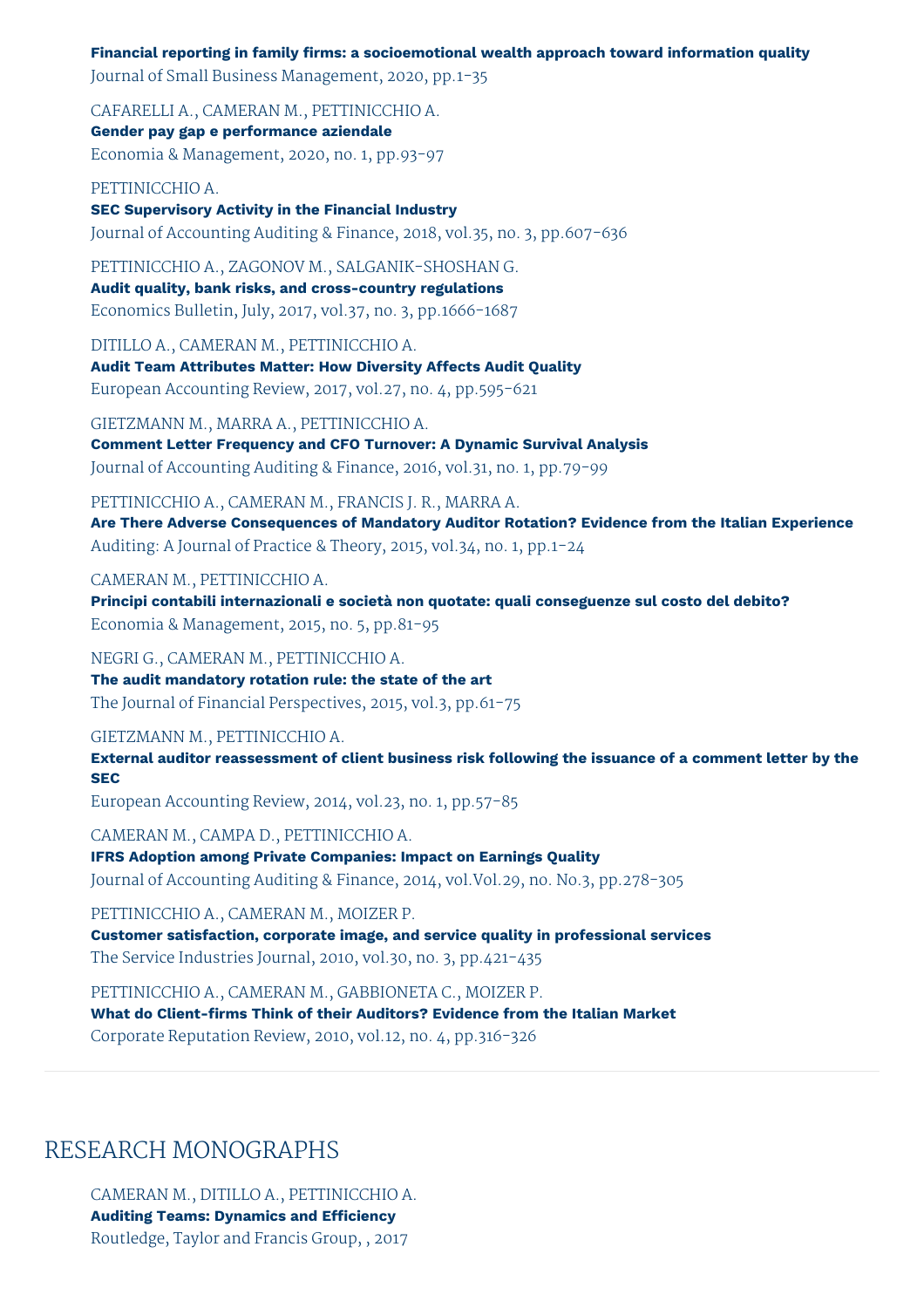**Financial reporting in family firms: a socioemotional wealth approach toward information quality** Journal of Small Business Management, 2020, pp.1-35

CAFARELLI A., CAMERAN M., PETTINICCHIO A. **Gender pay gap e performance aziendale** Economia & Management, 2020, no. 1, pp.93-97

PETTINICCHIO A. **SEC Supervisory Activity in the Financial Industry** Journal of Accounting Auditing & Finance, 2018, vol.35, no. 3, pp.607-636

PETTINICCHIO A., ZAGONOV M., SALGANIK-SHOSHAN G. **Audit quality, bank risks, and cross-country regulations** Economics Bulletin, July, 2017, vol.37, no. 3, pp.1666-1687

DITILLO A., CAMERAN M., PETTINICCHIO A. **Audit Team Attributes Matter: How Diversity Affects Audit Quality** European Accounting Review, 2017, vol.27, no. 4, pp.595-621

GIETZMANN M., MARRA A., PETTINICCHIO A. **Comment Letter Frequency and CFO Turnover: A Dynamic Survival Analysis** Journal of Accounting Auditing & Finance, 2016, vol.31, no. 1, pp.79-99

PETTINICCHIO A., CAMERAN M., FRANCIS J. R., MARRA A. **Are There Adverse Consequences of Mandatory Auditor Rotation? Evidence from the Italian Experience** Auditing: A Journal of Practice & Theory, 2015, vol.34, no. 1, pp.1-24

CAMERAN M., PETTINICCHIO A.

**Principi contabili internazionali e società non quotate: quali conseguenze sul costo del debito?** Economia & Management, 2015, no. 5, pp.81-95

NEGRI G., CAMERAN M., PETTINICCHIO A. **The audit mandatory rotation rule: the state of the art** The Journal of Financial Perspectives, 2015, vol.3, pp.61-75

GIETZMANN M., PETTINICCHIO A.

**External auditor reassessment of client business risk following the issuance of a comment letter by the SEC**

European Accounting Review, 2014, vol.23, no. 1, pp.57-85

CAMERAN M., CAMPA D., PETTINICCHIO A. **IFRS Adoption among Private Companies: Impact on Earnings Quality** Journal of Accounting Auditing & Finance, 2014, vol.Vol.29, no. No.3, pp.278-305

PETTINICCHIO A., CAMERAN M., MOIZER P. **Customer satisfaction, corporate image, and service quality in professional services** The Service Industries Journal, 2010, vol.30, no. 3, pp.421-435

PETTINICCHIO A., CAMERAN M., GABBIONETA C., MOIZER P. **What do Client-firms Think of their Auditors? Evidence from the Italian Market** Corporate Reputation Review, 2010, vol.12, no. 4, pp.316-326

## RESEARCH MONOGRAPHS

CAMERAN M., DITILLO A., PETTINICCHIO A. **Auditing Teams: Dynamics and Efficiency** Routledge, Taylor and Francis Group, , 2017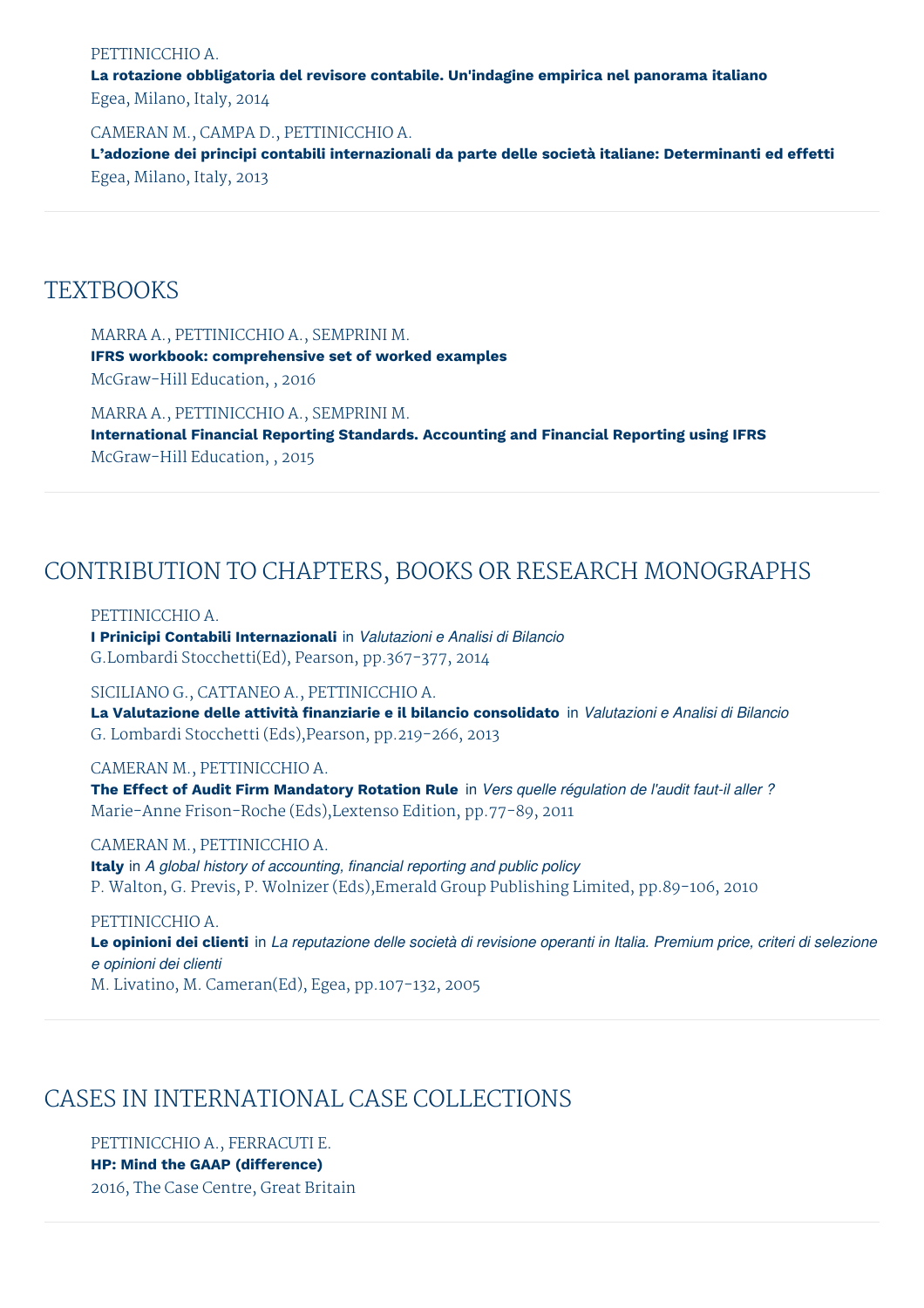#### PETTINICCHIO A.

**La rotazione obbligatoria del revisore contabile. Un'indagine empirica nel panorama italiano** Egea, Milano, Italy, 2014

CAMERAN M., CAMPA D., PETTINICCHIO A. **L'adozione dei principi contabili internazionali da parte delle società italiane: Determinanti ed effetti** Egea, Milano, Italy, 2013

### **TEXTBOOKS**

MARRA A., PETTINICCHIO A., SEMPRINI M. **IFRS workbook: comprehensive set of worked examples** McGraw-Hill Education, , 2016

MARRA A., PETTINICCHIO A., SEMPRINI M. **International Financial Reporting Standards. Accounting and Financial Reporting using IFRS** McGraw-Hill Education, , 2015

## CONTRIBUTION TO CHAPTERS, BOOKS OR RESEARCH MONOGRAPHS

PETTINICCHIO A.

**I Prinicipi Contabili Internazionali** in *Valutazioni e Analisi di Bilancio* G.Lombardi Stocchetti(Ed), Pearson, pp.367-377, 2014

SICILIANO G., CATTANEO A., PETTINICCHIO A. **La Valutazione delle attività finanziarie e il bilancio consolidato** in *Valutazioni e Analisi di Bilancio* G. Lombardi Stocchetti (Eds),Pearson, pp.219-266, 2013

CAMERAN M., PETTINICCHIO A. **The Effect of Audit Firm Mandatory Rotation Rule** in *Vers quelle régulation de l'audit faut-il aller ?* Marie-Anne Frison-Roche (Eds),Lextenso Edition, pp.77-89, 2011

CAMERAN M., PETTINICCHIO A. **Italy** in *A global history of accounting, financial reporting and public policy* P. Walton, G. Previs, P. Wolnizer (Eds),Emerald Group Publishing Limited, pp.89-106, 2010

PETTINICCHIO A. Le opinioni dei clienti in La reputazione delle società di revisione operanti in Italia. Premium price, criteri di selezione *e opinioni dei clienti* M. Livatino, M. Cameran(Ed), Egea, pp.107-132, 2005

## CASES IN INTERNATIONAL CASE COLLECTIONS

PETTINICCHIO A., FERRACUTI E. **HP: Mind the GAAP (difference)** 2016, The Case Centre, Great Britain